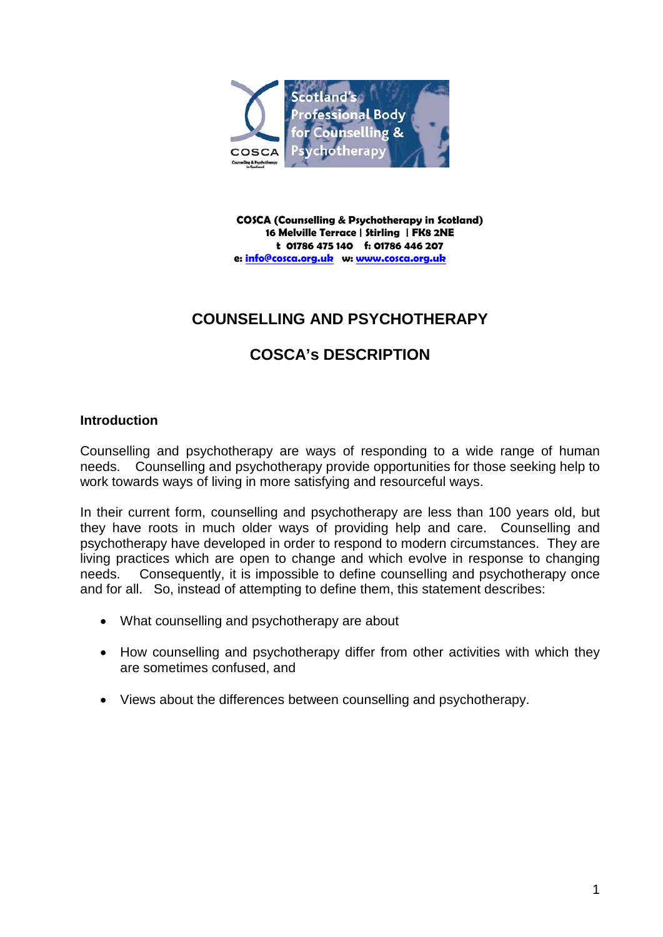

**COSCA (Counselling & Psychotherapy in Scotland) 16 Melville Terrace | Stirling | FK8 2NE t 01786 475 140 f: 01786 446 207 e: [info@cosca.org.uk](mailto:info@cosca.org.uk) w[: www.cosca.org.uk](http://www.cosca.org.uk/)**

# **COUNSELLING AND PSYCHOTHERAPY**

# **COSCA's DESCRIPTION**

# **Introduction**

Counselling and psychotherapy are ways of responding to a wide range of human needs. Counselling and psychotherapy provide opportunities for those seeking help to work towards ways of living in more satisfying and resourceful ways.

In their current form, counselling and psychotherapy are less than 100 years old, but they have roots in much older ways of providing help and care. Counselling and psychotherapy have developed in order to respond to modern circumstances. They are living practices which are open to change and which evolve in response to changing needs. Consequently, it is impossible to define counselling and psychotherapy once and for all. So, instead of attempting to define them, this statement describes:

- What counselling and psychotherapy are about
- How counselling and psychotherapy differ from other activities with which they are sometimes confused, and
- Views about the differences between counselling and psychotherapy.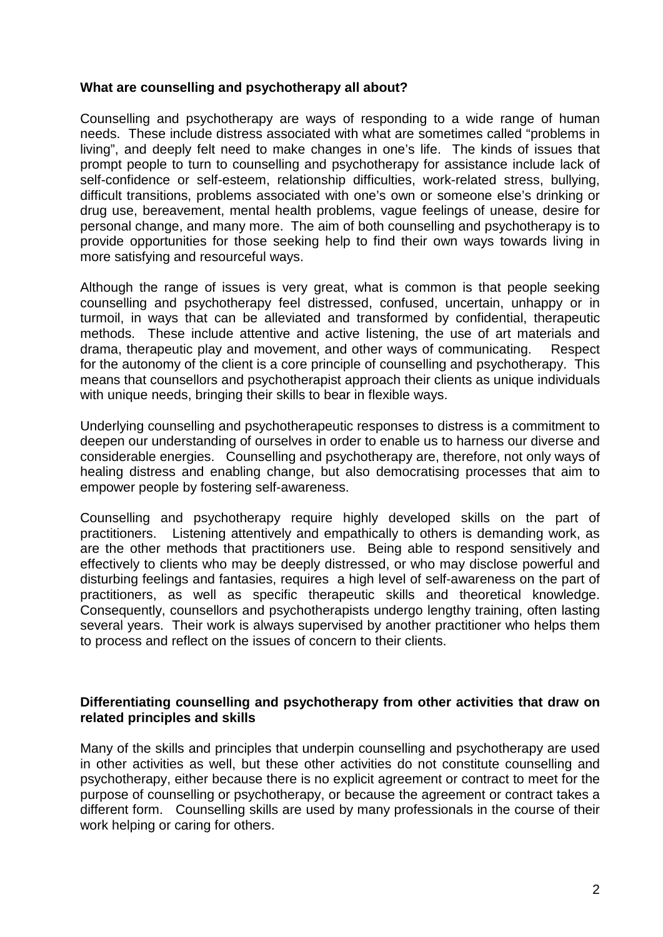# **What are counselling and psychotherapy all about?**

Counselling and psychotherapy are ways of responding to a wide range of human needs. These include distress associated with what are sometimes called "problems in living", and deeply felt need to make changes in one's life. The kinds of issues that prompt people to turn to counselling and psychotherapy for assistance include lack of self-confidence or self-esteem, relationship difficulties, work-related stress, bullying, difficult transitions, problems associated with one's own or someone else's drinking or drug use, bereavement, mental health problems, vague feelings of unease, desire for personal change, and many more. The aim of both counselling and psychotherapy is to provide opportunities for those seeking help to find their own ways towards living in more satisfying and resourceful ways.

Although the range of issues is very great, what is common is that people seeking counselling and psychotherapy feel distressed, confused, uncertain, unhappy or in turmoil, in ways that can be alleviated and transformed by confidential, therapeutic methods. These include attentive and active listening, the use of art materials and drama, therapeutic play and movement, and other ways of communicating. Respect for the autonomy of the client is a core principle of counselling and psychotherapy. This means that counsellors and psychotherapist approach their clients as unique individuals with unique needs, bringing their skills to bear in flexible ways.

Underlying counselling and psychotherapeutic responses to distress is a commitment to deepen our understanding of ourselves in order to enable us to harness our diverse and considerable energies. Counselling and psychotherapy are, therefore, not only ways of healing distress and enabling change, but also democratising processes that aim to empower people by fostering self-awareness.

Counselling and psychotherapy require highly developed skills on the part of practitioners. Listening attentively and empathically to others is demanding work, as are the other methods that practitioners use. Being able to respond sensitively and effectively to clients who may be deeply distressed, or who may disclose powerful and disturbing feelings and fantasies, requires a high level of self-awareness on the part of practitioners, as well as specific therapeutic skills and theoretical knowledge. Consequently, counsellors and psychotherapists undergo lengthy training, often lasting several years. Their work is always supervised by another practitioner who helps them to process and reflect on the issues of concern to their clients.

# **Differentiating counselling and psychotherapy from other activities that draw on related principles and skills**

Many of the skills and principles that underpin counselling and psychotherapy are used in other activities as well, but these other activities do not constitute counselling and psychotherapy, either because there is no explicit agreement or contract to meet for the purpose of counselling or psychotherapy, or because the agreement or contract takes a different form. Counselling skills are used by many professionals in the course of their work helping or caring for others.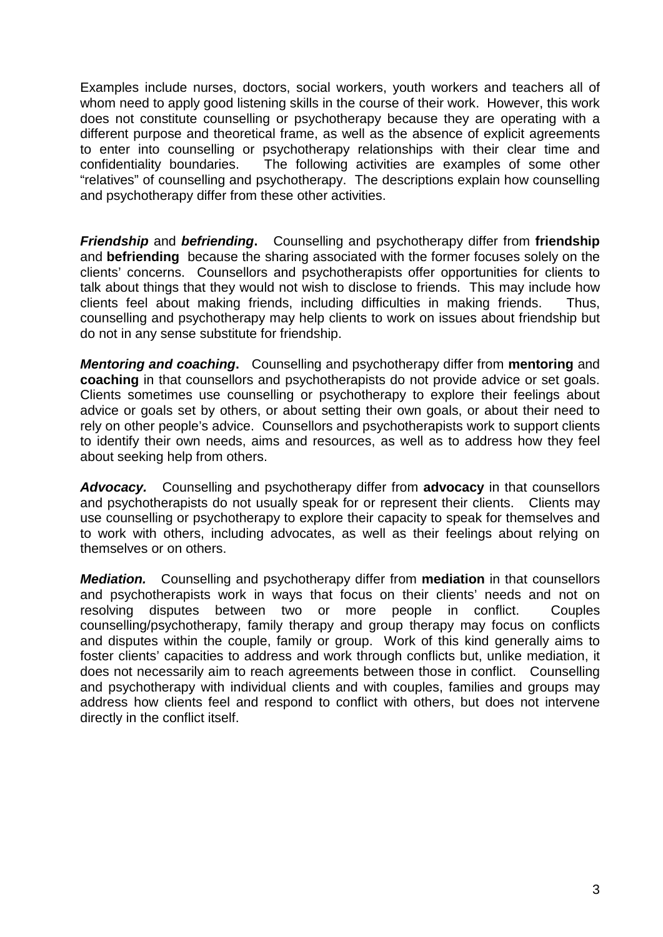Examples include nurses, doctors, social workers, youth workers and teachers all of whom need to apply good listening skills in the course of their work. However, this work does not constitute counselling or psychotherapy because they are operating with a different purpose and theoretical frame, as well as the absence of explicit agreements to enter into counselling or psychotherapy relationships with their clear time and confidentiality boundaries. The following activities are examples of some other The following activities are examples of some other "relatives" of counselling and psychotherapy. The descriptions explain how counselling and psychotherapy differ from these other activities.

*Friendship* and *befriending***.** Counselling and psychotherapy differ from **friendship**  and **befriending** because the sharing associated with the former focuses solely on the clients' concerns. Counsellors and psychotherapists offer opportunities for clients to talk about things that they would not wish to disclose to friends. This may include how clients feel about making friends, including difficulties in making friends. Thus, counselling and psychotherapy may help clients to work on issues about friendship but do not in any sense substitute for friendship.

*Mentoring and coaching***.** Counselling and psychotherapy differ from **mentoring** and **coaching** in that counsellors and psychotherapists do not provide advice or set goals. Clients sometimes use counselling or psychotherapy to explore their feelings about advice or goals set by others, or about setting their own goals, or about their need to rely on other people's advice. Counsellors and psychotherapists work to support clients to identify their own needs, aims and resources, as well as to address how they feel about seeking help from others.

*Advocacy.* Counselling and psychotherapy differ from **advocacy** in that counsellors and psychotherapists do not usually speak for or represent their clients. Clients may use counselling or psychotherapy to explore their capacity to speak for themselves and to work with others, including advocates, as well as their feelings about relying on themselves or on others.

*Mediation.*Counselling and psychotherapy differ from **mediation** in that counsellors and psychotherapists work in ways that focus on their clients' needs and not on resolving disputes between two or more people in conflict. Couples counselling/psychotherapy, family therapy and group therapy may focus on conflicts and disputes within the couple, family or group. Work of this kind generally aims to foster clients' capacities to address and work through conflicts but, unlike mediation, it does not necessarily aim to reach agreements between those in conflict. Counselling and psychotherapy with individual clients and with couples, families and groups may address how clients feel and respond to conflict with others, but does not intervene directly in the conflict itself.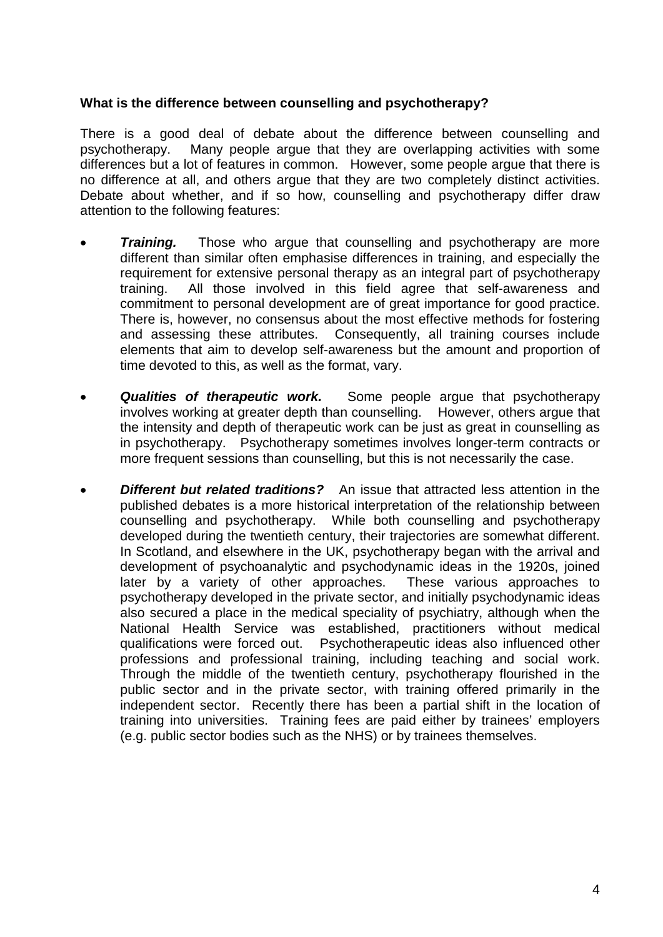# **What is the difference between counselling and psychotherapy?**

There is a good deal of debate about the difference between counselling and psychotherapy. Many people argue that they are overlapping activities with some differences but a lot of features in common. However, some people argue that there is no difference at all, and others argue that they are two completely distinct activities. Debate about whether, and if so how, counselling and psychotherapy differ draw attention to the following features:

- **Training.** Those who argue that counselling and psychotherapy are more different than similar often emphasise differences in training, and especially the requirement for extensive personal therapy as an integral part of psychotherapy training. All those involved in this field agree that self-awareness and commitment to personal development are of great importance for good practice. There is, however, no consensus about the most effective methods for fostering and assessing these attributes. Consequently, all training courses include elements that aim to develop self-awareness but the amount and proportion of time devoted to this, as well as the format, vary.
- *Qualities of therapeutic work.* Some people argue that psychotherapy involves working at greater depth than counselling. However, others argue that the intensity and depth of therapeutic work can be just as great in counselling as in psychotherapy. Psychotherapy sometimes involves longer-term contracts or more frequent sessions than counselling, but this is not necessarily the case.
- *Different but related traditions?* An issue that attracted less attention in the published debates is a more historical interpretation of the relationship between counselling and psychotherapy. While both counselling and psychotherapy developed during the twentieth century, their trajectories are somewhat different. In Scotland, and elsewhere in the UK, psychotherapy began with the arrival and development of psychoanalytic and psychodynamic ideas in the 1920s, joined later by a variety of other approaches. These various approaches to psychotherapy developed in the private sector, and initially psychodynamic ideas also secured a place in the medical speciality of psychiatry, although when the National Health Service was established, practitioners without medical qualifications were forced out. Psychotherapeutic ideas also influenced other professions and professional training, including teaching and social work. Through the middle of the twentieth century, psychotherapy flourished in the public sector and in the private sector, with training offered primarily in the independent sector. Recently there has been a partial shift in the location of training into universities. Training fees are paid either by trainees' employers (e.g. public sector bodies such as the NHS) or by trainees themselves.